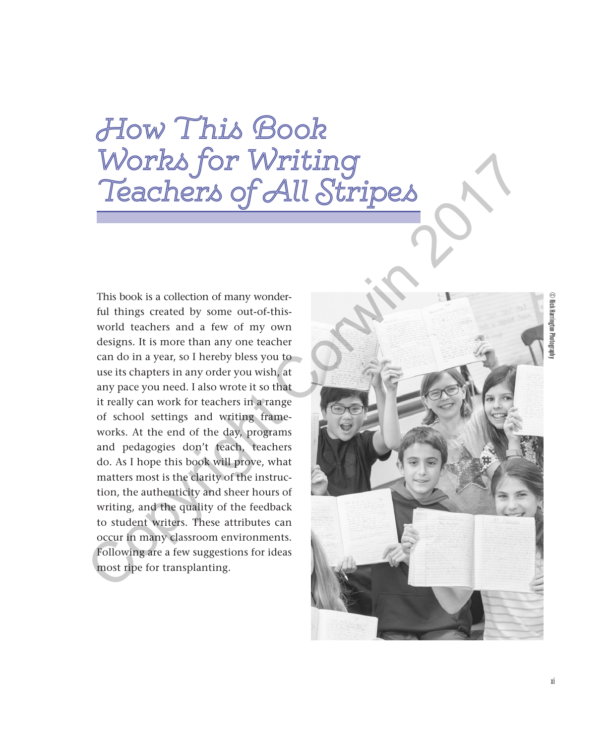## How This Book Works for Writing Teachers of All Stripes

This book is a collection of many wonderful things created by some out-of-thisworld teachers and a few of my own designs. It is more than any one teacher can do in a year, so I hereby bless you to use its chapters in any order you wish, at any pace you need. I also wrote it so that it really can work for teachers in a range of school settings and writing frameworks. At the end of the day, programs and pedagogies don't teach, teachers do. As I hope this book will prove, what matters most is the clarity of the instruction, the authenticity and sheer hours of writing, and the quality of the feedback to student writers. These attributes can occur in many classroom environments. Following are a few suggestions for ideas most ripe for transplanting.



© Rick Harrington Photography  $\widehat{\odot}$  Rick Harrington Photograp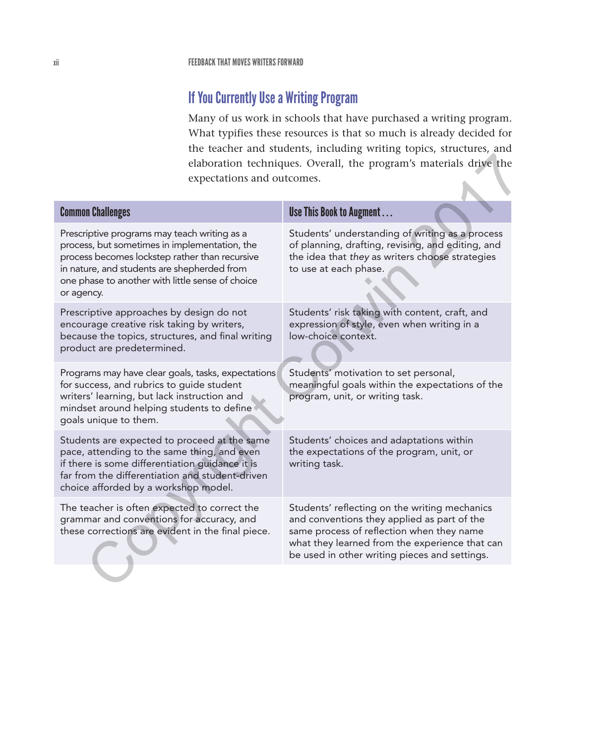## If You Currently Use a Writing Program

Many of us work in schools that have purchased a writing program. What typifies these resources is that so much is already decided for the teacher and students, including writing topics, structures, and elaboration techniques. Overall, the program's materials drive the expectations and outcomes.

| elaboration techniques. Overall, the program's materials drive the<br>expectations and outcomes.                                                                                                                                                                 |                                                                                                                                                                                                                                              |  |
|------------------------------------------------------------------------------------------------------------------------------------------------------------------------------------------------------------------------------------------------------------------|----------------------------------------------------------------------------------------------------------------------------------------------------------------------------------------------------------------------------------------------|--|
| <b>Common Challenges</b>                                                                                                                                                                                                                                         | Use This Book to Augment                                                                                                                                                                                                                     |  |
| Prescriptive programs may teach writing as a<br>process, but sometimes in implementation, the<br>process becomes lockstep rather than recursive<br>in nature, and students are shepherded from<br>one phase to another with little sense of choice<br>or agency. | Students' understanding of writing as a process<br>of planning, drafting, revising, and editing, and<br>the idea that they as writers choose strategies<br>to use at each phase.                                                             |  |
| Prescriptive approaches by design do not<br>encourage creative risk taking by writers,<br>because the topics, structures, and final writing<br>product are predetermined.                                                                                        | Students' risk taking with content, craft, and<br>expression of style, even when writing in a<br>low-choice context.                                                                                                                         |  |
| Programs may have clear goals, tasks, expectations<br>for success, and rubrics to guide student<br>writers' learning, but lack instruction and<br>mindset around helping students to define<br>goals unique to them.                                             | Students' motivation to set personal,<br>meaningful goals within the expectations of the<br>program, unit, or writing task.                                                                                                                  |  |
| Students are expected to proceed at the same<br>pace, attending to the same thing, and even<br>if there is some differentiation guidance it is<br>far from the differentiation and student-driven<br>choice afforded by a workshop model.                        | Students' choices and adaptations within<br>the expectations of the program, unit, or<br>writing task.                                                                                                                                       |  |
| The teacher is often expected to correct the<br>grammar and conventions for accuracy, and<br>these corrections are evident in the final piece.                                                                                                                   | Students' reflecting on the writing mechanics<br>and conventions they applied as part of the<br>same process of reflection when they name<br>what they learned from the experience that can<br>be used in other writing pieces and settings. |  |
|                                                                                                                                                                                                                                                                  |                                                                                                                                                                                                                                              |  |